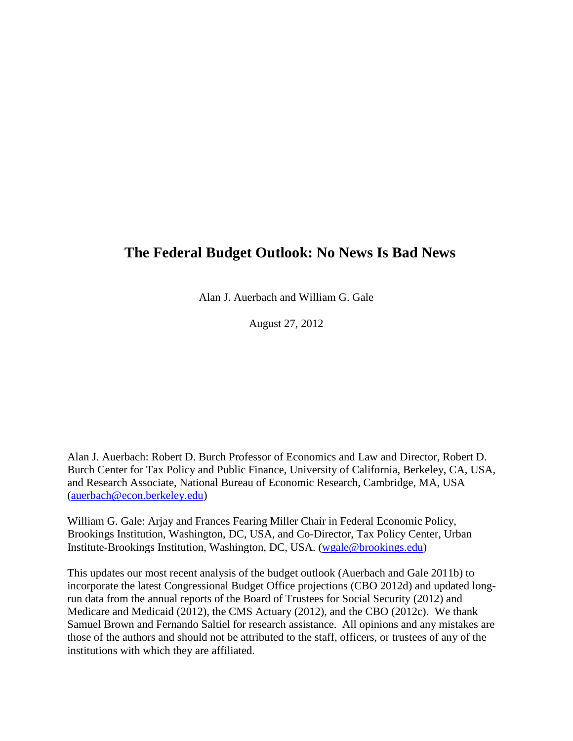## **The Federal Budget Outlook: No News Is Bad News**

Alan J. Auerbach and William G. Gale

August 27, 2012

Alan J. Auerbach: Robert D. Burch Professor of Economics and Law and Director, Robert D. Burch Center for Tax Policy and Public Finance, University of California, Berkeley, CA, USA, and Research Associate, National Bureau of Economic Research, Cambridge, MA, USA [\(auerbach@econ.berkeley.edu\)](mailto:auerbach@econ.berkeley.edu)

William G. Gale: Arjay and Frances Fearing Miller Chair in Federal Economic Policy, Brookings Institution, Washington, DC, USA, and Co-Director, Tax Policy Center, Urban Institute-Brookings Institution, Washington, DC, USA. [\(wgale@brookings.edu\)](mailto:wgale@brookings.edu)

This updates our most recent analysis of the budget outlook (Auerbach and Gale 2011b) to incorporate the latest Congressional Budget Office projections (CBO 2012d) and updated longrun data from the annual reports of the Board of Trustees for Social Security (2012) and Medicare and Medicaid (2012), the CMS Actuary (2012), and the CBO (2012c). We thank Samuel Brown and Fernando Saltiel for research assistance. All opinions and any mistakes are those of the authors and should not be attributed to the staff, officers, or trustees of any of the institutions with which they are affiliated.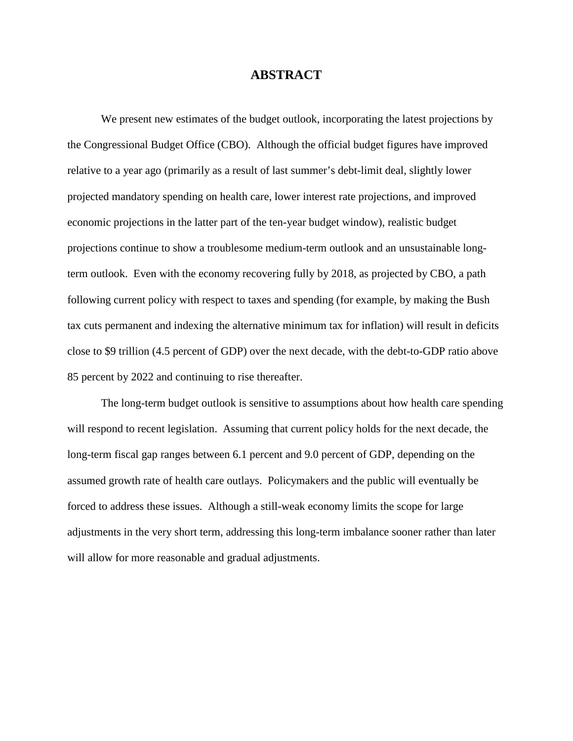### **ABSTRACT**

We present new estimates of the budget outlook, incorporating the latest projections by the Congressional Budget Office (CBO). Although the official budget figures have improved relative to a year ago (primarily as a result of last summer's debt-limit deal, slightly lower projected mandatory spending on health care, lower interest rate projections, and improved economic projections in the latter part of the ten-year budget window), realistic budget projections continue to show a troublesome medium-term outlook and an unsustainable longterm outlook. Even with the economy recovering fully by 2018, as projected by CBO, a path following current policy with respect to taxes and spending (for example, by making the Bush tax cuts permanent and indexing the alternative minimum tax for inflation) will result in deficits close to \$9 trillion (4.5 percent of GDP) over the next decade, with the debt-to-GDP ratio above 85 percent by 2022 and continuing to rise thereafter.

The long-term budget outlook is sensitive to assumptions about how health care spending will respond to recent legislation. Assuming that current policy holds for the next decade, the long-term fiscal gap ranges between 6.1 percent and 9.0 percent of GDP, depending on the assumed growth rate of health care outlays. Policymakers and the public will eventually be forced to address these issues. Although a still-weak economy limits the scope for large adjustments in the very short term, addressing this long-term imbalance sooner rather than later will allow for more reasonable and gradual adjustments.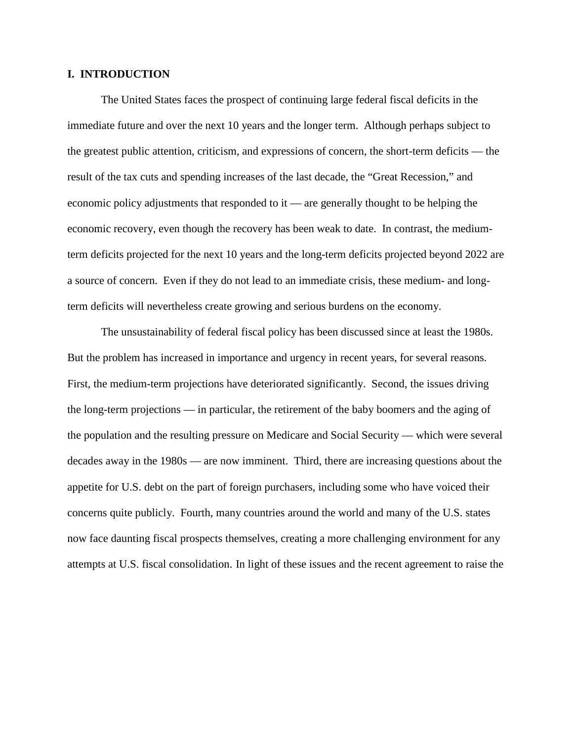#### **I. INTRODUCTION**

The United States faces the prospect of continuing large federal fiscal deficits in the immediate future and over the next 10 years and the longer term. Although perhaps subject to the greatest public attention, criticism, and expressions of concern, the short-term deficits — the result of the tax cuts and spending increases of the last decade, the "Great Recession," and economic policy adjustments that responded to it — are generally thought to be helping the economic recovery, even though the recovery has been weak to date. In contrast, the mediumterm deficits projected for the next 10 years and the long-term deficits projected beyond 2022 are a source of concern. Even if they do not lead to an immediate crisis, these medium- and longterm deficits will nevertheless create growing and serious burdens on the economy.

The unsustainability of federal fiscal policy has been discussed since at least the 1980s. But the problem has increased in importance and urgency in recent years, for several reasons. First, the medium-term projections have deteriorated significantly. Second, the issues driving the long-term projections — in particular, the retirement of the baby boomers and the aging of the population and the resulting pressure on Medicare and Social Security — which were several decades away in the 1980s — are now imminent. Third, there are increasing questions about the appetite for U.S. debt on the part of foreign purchasers, including some who have voiced their concerns quite publicly. Fourth, many countries around the world and many of the U.S. states now face daunting fiscal prospects themselves, creating a more challenging environment for any attempts at U.S. fiscal consolidation. In light of these issues and the recent agreement to raise the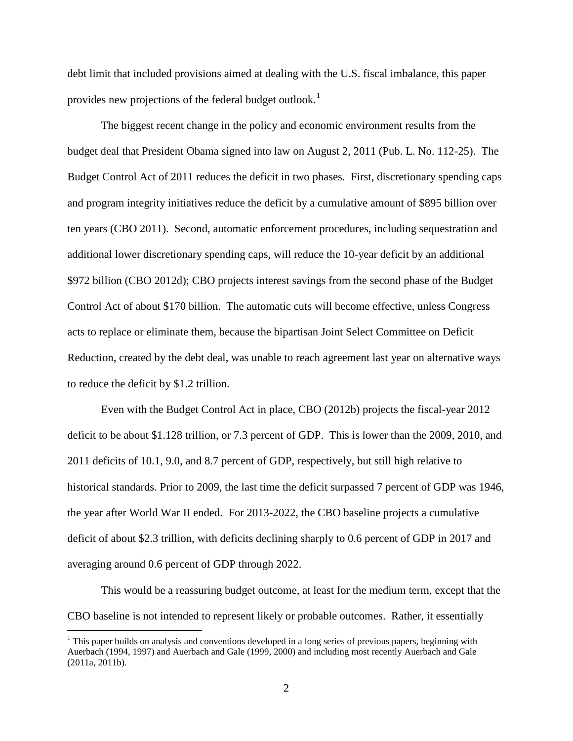debt limit that included provisions aimed at dealing with the U.S. fiscal imbalance, this paper provides new projections of the federal budget outlook.<sup>[1](#page-3-0)</sup>

The biggest recent change in the policy and economic environment results from the budget deal that President Obama signed into law on August 2, 2011 (Pub. L. No. 112-25). The Budget Control Act of 2011 reduces the deficit in two phases. First, discretionary spending caps and program integrity initiatives reduce the deficit by a cumulative amount of \$895 billion over ten years (CBO 2011). Second, automatic enforcement procedures, including sequestration and additional lower discretionary spending caps, will reduce the 10-year deficit by an additional \$972 billion (CBO 2012d); CBO projects interest savings from the second phase of the Budget Control Act of about \$170 billion. The automatic cuts will become effective, unless Congress acts to replace or eliminate them, because the bipartisan Joint Select Committee on Deficit Reduction, created by the debt deal, was unable to reach agreement last year on alternative ways to reduce the deficit by \$1.2 trillion.

Even with the Budget Control Act in place, CBO (2012b) projects the fiscal-year 2012 deficit to be about \$1.128 trillion, or 7.3 percent of GDP. This is lower than the 2009, 2010, and 2011 deficits of 10.1, 9.0, and 8.7 percent of GDP, respectively, but still high relative to historical standards. Prior to 2009, the last time the deficit surpassed 7 percent of GDP was 1946, the year after World War II ended. For 2013-2022, the CBO baseline projects a cumulative deficit of about \$2.3 trillion, with deficits declining sharply to 0.6 percent of GDP in 2017 and averaging around 0.6 percent of GDP through 2022.

This would be a reassuring budget outcome, at least for the medium term, except that the CBO baseline is not intended to represent likely or probable outcomes. Rather, it essentially

<span id="page-3-0"></span><sup>&</sup>lt;sup>1</sup> This paper builds on analysis and conventions developed in a long series of previous papers, beginning with Auerbach (1994, 1997) and Auerbach and Gale (1999, 2000) and including most recently Auerbach and Gale (2011a, 2011b).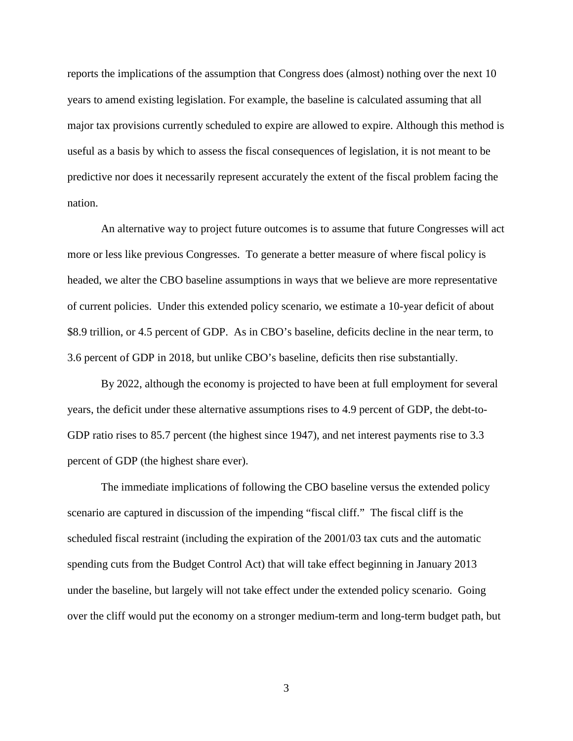reports the implications of the assumption that Congress does (almost) nothing over the next 10 years to amend existing legislation. For example, the baseline is calculated assuming that all major tax provisions currently scheduled to expire are allowed to expire. Although this method is useful as a basis by which to assess the fiscal consequences of legislation, it is not meant to be predictive nor does it necessarily represent accurately the extent of the fiscal problem facing the nation.

An alternative way to project future outcomes is to assume that future Congresses will act more or less like previous Congresses. To generate a better measure of where fiscal policy is headed, we alter the CBO baseline assumptions in ways that we believe are more representative of current policies. Under this extended policy scenario, we estimate a 10-year deficit of about \$8.9 trillion, or 4.5 percent of GDP. As in CBO's baseline, deficits decline in the near term, to 3.6 percent of GDP in 2018, but unlike CBO's baseline, deficits then rise substantially.

By 2022, although the economy is projected to have been at full employment for several years, the deficit under these alternative assumptions rises to 4.9 percent of GDP, the debt-to-GDP ratio rises to 85.7 percent (the highest since 1947), and net interest payments rise to 3.3 percent of GDP (the highest share ever).

The immediate implications of following the CBO baseline versus the extended policy scenario are captured in discussion of the impending "fiscal cliff." The fiscal cliff is the scheduled fiscal restraint (including the expiration of the 2001/03 tax cuts and the automatic spending cuts from the Budget Control Act) that will take effect beginning in January 2013 under the baseline, but largely will not take effect under the extended policy scenario. Going over the cliff would put the economy on a stronger medium-term and long-term budget path, but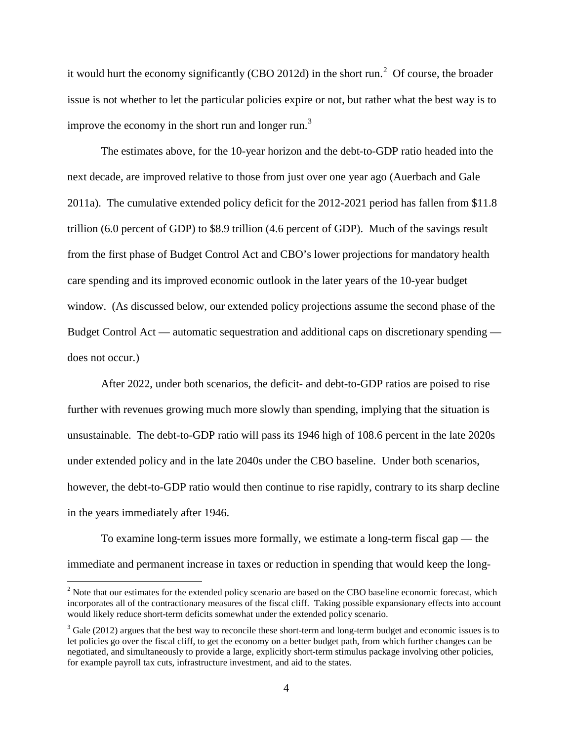it would hurt the economy significantly (CBO [2](#page-5-0)012d) in the short run.<sup>2</sup> Of course, the broader issue is not whether to let the particular policies expire or not, but rather what the best way is to improve the economy in the short run and longer run.<sup>[3](#page-5-1)</sup>

The estimates above, for the 10-year horizon and the debt-to-GDP ratio headed into the next decade, are improved relative to those from just over one year ago (Auerbach and Gale 2011a). The cumulative extended policy deficit for the 2012-2021 period has fallen from \$11.8 trillion (6.0 percent of GDP) to \$8.9 trillion (4.6 percent of GDP). Much of the savings result from the first phase of Budget Control Act and CBO's lower projections for mandatory health care spending and its improved economic outlook in the later years of the 10-year budget window. (As discussed below, our extended policy projections assume the second phase of the Budget Control Act — automatic sequestration and additional caps on discretionary spending does not occur.)

After 2022, under both scenarios, the deficit- and debt-to-GDP ratios are poised to rise further with revenues growing much more slowly than spending, implying that the situation is unsustainable. The debt-to-GDP ratio will pass its 1946 high of 108.6 percent in the late 2020s under extended policy and in the late 2040s under the CBO baseline.Under both scenarios, however, the debt-to-GDP ratio would then continue to rise rapidly, contrary to its sharp decline in the years immediately after 1946.

To examine long-term issues more formally, we estimate a long-term fiscal gap — the immediate and permanent increase in taxes or reduction in spending that would keep the long-

<span id="page-5-0"></span><sup>&</sup>lt;sup>2</sup> Note that our estimates for the extended policy scenario are based on the CBO baseline economic forecast, which incorporates all of the contractionary measures of the fiscal cliff. Taking possible expansionary effects into account would likely reduce short-term deficits somewhat under the extended policy scenario.

<span id="page-5-1"></span> $3$  Gale (2012) argues that the best way to reconcile these short-term and long-term budget and economic issues is to let policies go over the fiscal cliff, to get the economy on a better budget path, from which further changes can be negotiated, and simultaneously to provide a large, explicitly short-term stimulus package involving other policies, for example payroll tax cuts, infrastructure investment, and aid to the states.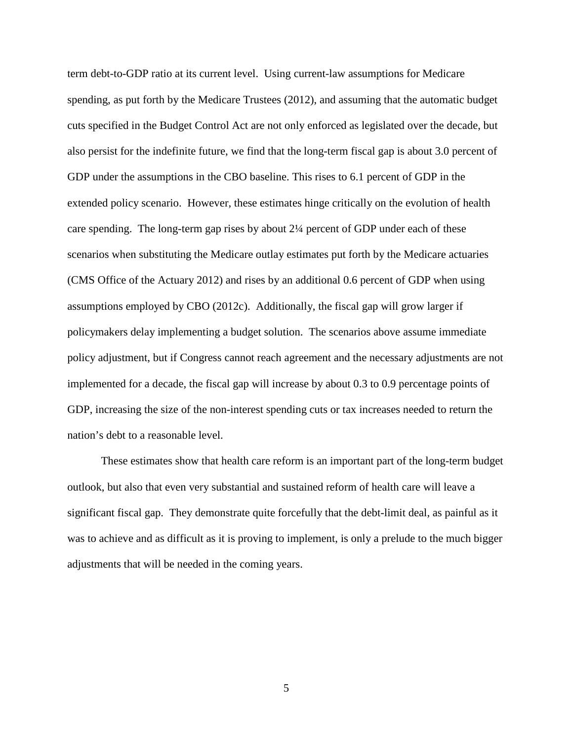term debt-to-GDP ratio at its current level. Using current-law assumptions for Medicare spending, as put forth by the Medicare Trustees (2012), and assuming that the automatic budget cuts specified in the Budget Control Act are not only enforced as legislated over the decade, but also persist for the indefinite future, we find that the long-term fiscal gap is about 3.0 percent of GDP under the assumptions in the CBO baseline. This rises to 6.1 percent of GDP in the extended policy scenario. However, these estimates hinge critically on the evolution of health care spending. The long-term gap rises by about 2¼ percent of GDP under each of these scenarios when substituting the Medicare outlay estimates put forth by the Medicare actuaries (CMS Office of the Actuary 2012) and rises by an additional 0.6 percent of GDP when using assumptions employed by CBO (2012c). Additionally, the fiscal gap will grow larger if policymakers delay implementing a budget solution. The scenarios above assume immediate policy adjustment, but if Congress cannot reach agreement and the necessary adjustments are not implemented for a decade, the fiscal gap will increase by about 0.3 to 0.9 percentage points of GDP, increasing the size of the non-interest spending cuts or tax increases needed to return the nation's debt to a reasonable level.

These estimates show that health care reform is an important part of the long-term budget outlook, but also that even very substantial and sustained reform of health care will leave a significant fiscal gap. They demonstrate quite forcefully that the debt-limit deal, as painful as it was to achieve and as difficult as it is proving to implement, is only a prelude to the much bigger adjustments that will be needed in the coming years.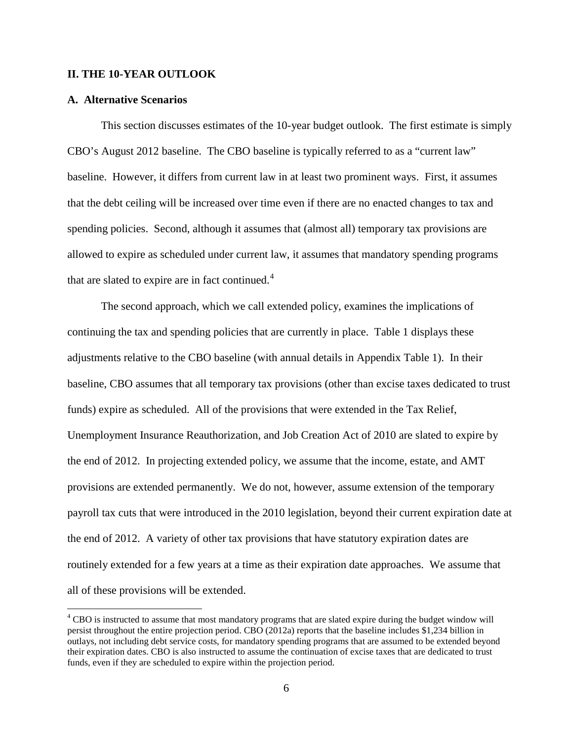#### **II. THE 10-YEAR OUTLOOK**

#### **A. Alternative Scenarios**

This section discusses estimates of the 10-year budget outlook. The first estimate is simply CBO's August 2012 baseline. The CBO baseline is typically referred to as a "current law" baseline. However, it differs from current law in at least two prominent ways. First, it assumes that the debt ceiling will be increased over time even if there are no enacted changes to tax and spending policies. Second, although it assumes that (almost all) temporary tax provisions are allowed to expire as scheduled under current law, it assumes that mandatory spending programs that are slated to expire are in fact continued.<sup>[4](#page-7-0)</sup>

The second approach, which we call extended policy, examines the implications of continuing the tax and spending policies that are currently in place. Table 1 displays these adjustments relative to the CBO baseline (with annual details in Appendix Table 1). In their baseline, CBO assumes that all temporary tax provisions (other than excise taxes dedicated to trust funds) expire as scheduled. All of the provisions that were extended in the Tax Relief, Unemployment Insurance Reauthorization, and Job Creation Act of 2010 are slated to expire by the end of 2012. In projecting extended policy, we assume that the income, estate, and AMT provisions are extended permanently. We do not, however, assume extension of the temporary payroll tax cuts that were introduced in the 2010 legislation, beyond their current expiration date at the end of 2012. A variety of other tax provisions that have statutory expiration dates are routinely extended for a few years at a time as their expiration date approaches. We assume that all of these provisions will be extended.

<span id="page-7-0"></span><sup>&</sup>lt;sup>4</sup> CBO is instructed to assume that most mandatory programs that are slated expire during the budget window will persist throughout the entire projection period. CBO (2012a) reports that the baseline includes \$1,234 billion in outlays, not including debt service costs, for mandatory spending programs that are assumed to be extended beyond their expiration dates. CBO is also instructed to assume the continuation of excise taxes that are dedicated to trust funds, even if they are scheduled to expire within the projection period.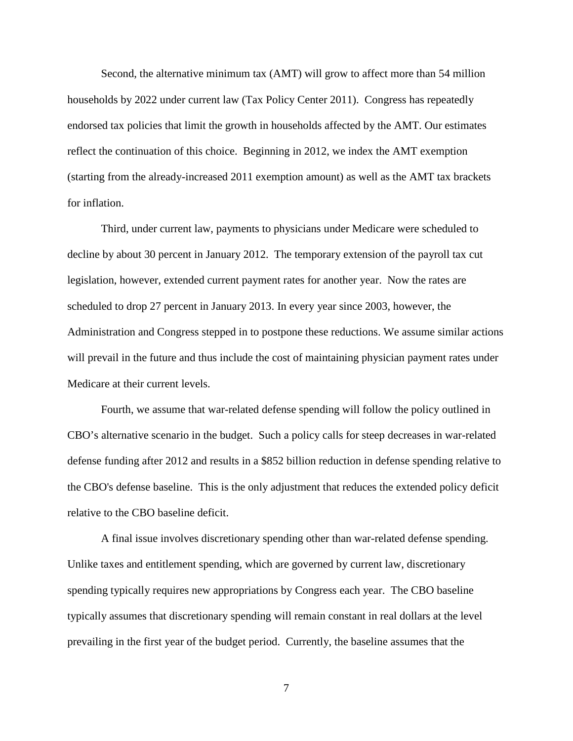Second, the alternative minimum tax (AMT) will grow to affect more than 54 million households by 2022 under current law (Tax Policy Center 2011). Congress has repeatedly endorsed tax policies that limit the growth in households affected by the AMT. Our estimates reflect the continuation of this choice. Beginning in 2012, we index the AMT exemption (starting from the already-increased 2011 exemption amount) as well as the AMT tax brackets for inflation.

Third, under current law, payments to physicians under Medicare were scheduled to decline by about 30 percent in January 2012. The temporary extension of the payroll tax cut legislation, however, extended current payment rates for another year. Now the rates are scheduled to drop 27 percent in January 2013. In every year since 2003, however, the Administration and Congress stepped in to postpone these reductions. We assume similar actions will prevail in the future and thus include the cost of maintaining physician payment rates under Medicare at their current levels.

Fourth, we assume that war-related defense spending will follow the policy outlined in CBO's alternative scenario in the budget. Such a policy calls for steep decreases in war-related defense funding after 2012 and results in a \$852 billion reduction in defense spending relative to the CBO's defense baseline. This is the only adjustment that reduces the extended policy deficit relative to the CBO baseline deficit.

A final issue involves discretionary spending other than war-related defense spending. Unlike taxes and entitlement spending, which are governed by current law, discretionary spending typically requires new appropriations by Congress each year. The CBO baseline typically assumes that discretionary spending will remain constant in real dollars at the level prevailing in the first year of the budget period. Currently, the baseline assumes that the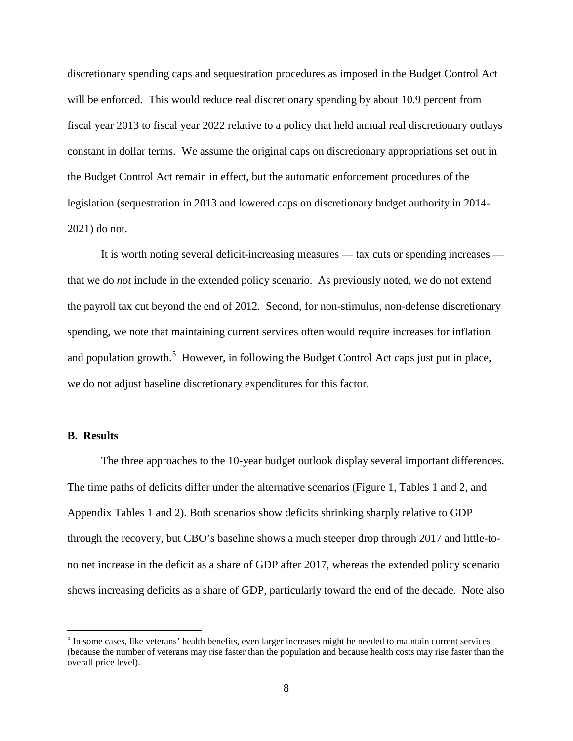discretionary spending caps and sequestration procedures as imposed in the Budget Control Act will be enforced. This would reduce real discretionary spending by about 10.9 percent from fiscal year 2013 to fiscal year 2022 relative to a policy that held annual real discretionary outlays constant in dollar terms.We assume the original caps on discretionary appropriations set out in the Budget Control Act remain in effect, but the automatic enforcement procedures of the legislation (sequestration in 2013 and lowered caps on discretionary budget authority in 2014- 2021) do not.

It is worth noting several deficit-increasing measures — tax cuts or spending increases that we do *not* include in the extended policy scenario. As previously noted, we do not extend the payroll tax cut beyond the end of 2012. Second, for non-stimulus, non-defense discretionary spending, we note that maintaining current services often would require increases for inflation and population growth.<sup>[5](#page-9-0)</sup> However, in following the Budget Control Act caps just put in place, we do not adjust baseline discretionary expenditures for this factor.

#### **B. Results**

The three approaches to the 10-year budget outlook display several important differences. The time paths of deficits differ under the alternative scenarios (Figure 1, Tables 1 and 2, and Appendix Tables 1 and 2). Both scenarios show deficits shrinking sharply relative to GDP through the recovery, but CBO's baseline shows a much steeper drop through 2017 and little-tono net increase in the deficit as a share of GDP after 2017, whereas the extended policy scenario shows increasing deficits as a share of GDP, particularly toward the end of the decade. Note also

<span id="page-9-0"></span><sup>&</sup>lt;sup>5</sup> In some cases, like veterans' health benefits, even larger increases might be needed to maintain current services (because the number of veterans may rise faster than the population and because health costs may rise faster than the overall price level).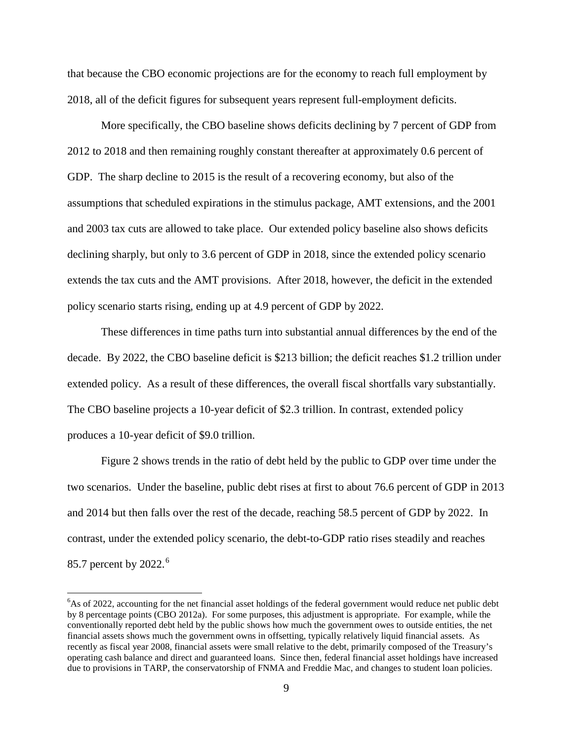that because the CBO economic projections are for the economy to reach full employment by 2018, all of the deficit figures for subsequent years represent full-employment deficits.

More specifically, the CBO baseline shows deficits declining by 7 percent of GDP from 2012 to 2018 and then remaining roughly constant thereafter at approximately 0.6 percent of GDP. The sharp decline to 2015 is the result of a recovering economy, but also of the assumptions that scheduled expirations in the stimulus package, AMT extensions, and the 2001 and 2003 tax cuts are allowed to take place. Our extended policy baseline also shows deficits declining sharply, but only to 3.6 percent of GDP in 2018, since the extended policy scenario extends the tax cuts and the AMT provisions. After 2018, however, the deficit in the extended policy scenario starts rising, ending up at 4.9 percent of GDP by 2022.

These differences in time paths turn into substantial annual differences by the end of the decade. By 2022, the CBO baseline deficit is \$213 billion; the deficit reaches \$1.2 trillion under extended policy. As a result of these differences, the overall fiscal shortfalls vary substantially. The CBO baseline projects a 10-year deficit of \$2.3 trillion. In contrast, extended policy produces a 10-year deficit of \$9.0 trillion.

Figure 2 shows trends in the ratio of debt held by the public to GDP over time under the two scenarios. Under the baseline, public debt rises at first to about 76.6 percent of GDP in 2013 and 2014 but then falls over the rest of the decade, reaching 58.5 percent of GDP by 2022. In contrast, under the extended policy scenario, the debt-to-GDP ratio rises steadily and reaches 85.7 percent by 2022.<sup>[6](#page-10-0)</sup>

<span id="page-10-0"></span> <sup>6</sup> <sup>6</sup>As of 2022, accounting for the net financial asset holdings of the federal government would reduce net public debt by 8 percentage points (CBO 2012a). For some purposes, this adjustment is appropriate. For example, while the conventionally reported debt held by the public shows how much the government owes to outside entities, the net financial assets shows much the government owns in offsetting, typically relatively liquid financial assets. As recently as fiscal year 2008, financial assets were small relative to the debt, primarily composed of the Treasury's operating cash balance and direct and guaranteed loans. Since then, federal financial asset holdings have increased due to provisions in TARP, the conservatorship of FNMA and Freddie Mac, and changes to student loan policies.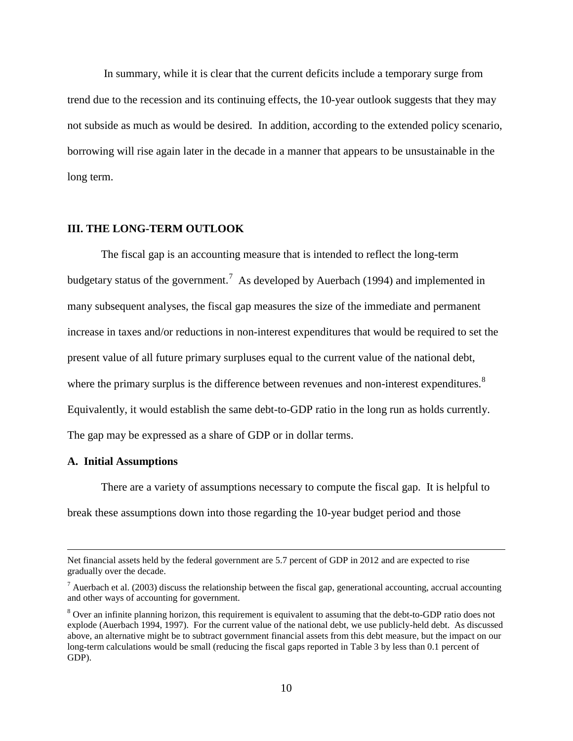In summary, while it is clear that the current deficits include a temporary surge from trend due to the recession and its continuing effects, the 10-year outlook suggests that they may not subside as much as would be desired. In addition, according to the extended policy scenario, borrowing will rise again later in the decade in a manner that appears to be unsustainable in the long term.

#### **III. THE LONG-TERM OUTLOOK**

The fiscal gap is an accounting measure that is intended to reflect the long-term budgetary status of the government.<sup>[7](#page-11-0)</sup> As developed by Auerbach (1994) and implemented in many subsequent analyses, the fiscal gap measures the size of the immediate and permanent increase in taxes and/or reductions in non-interest expenditures that would be required to set the present value of all future primary surpluses equal to the current value of the national debt, where the primary surplus is the difference between revenues and non-interest expenditures.<sup>[8](#page-11-1)</sup> Equivalently, it would establish the same debt-to-GDP ratio in the long run as holds currently. The gap may be expressed as a share of GDP or in dollar terms.

#### **A. Initial Assumptions**

 $\overline{a}$ 

There are a variety of assumptions necessary to compute the fiscal gap. It is helpful to break these assumptions down into those regarding the 10-year budget period and those

Net financial assets held by the federal government are 5.7 percent of GDP in 2012 and are expected to rise gradually over the decade.

<span id="page-11-0"></span><sup>&</sup>lt;sup>7</sup> Auerbach et al. (2003) discuss the relationship between the fiscal gap, generational accounting, accrual accounting and other ways of accounting for government.

<span id="page-11-1"></span><sup>&</sup>lt;sup>8</sup> Over an infinite planning horizon, this requirement is equivalent to assuming that the debt-to-GDP ratio does not explode (Auerbach 1994, 1997). For the current value of the national debt, we use publicly-held debt. As discussed above, an alternative might be to subtract government financial assets from this debt measure, but the impact on our long-term calculations would be small (reducing the fiscal gaps reported in Table 3 by less than 0.1 percent of GDP).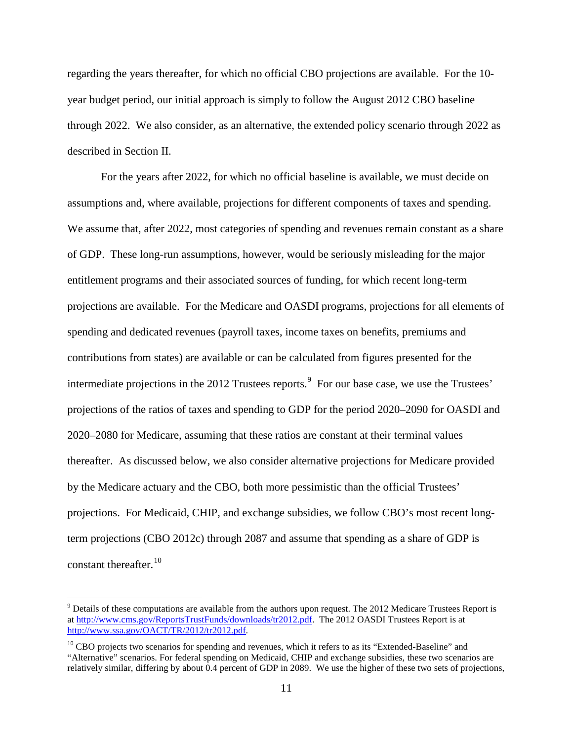regarding the years thereafter, for which no official CBO projections are available. For the 10 year budget period, our initial approach is simply to follow the August 2012 CBO baseline through 2022. We also consider, as an alternative, the extended policy scenario through 2022 as described in Section II.

For the years after 2022, for which no official baseline is available, we must decide on assumptions and, where available, projections for different components of taxes and spending. We assume that, after 2022, most categories of spending and revenues remain constant as a share of GDP. These long-run assumptions, however, would be seriously misleading for the major entitlement programs and their associated sources of funding, for which recent long-term projections are available. For the Medicare and OASDI programs, projections for all elements of spending and dedicated revenues (payroll taxes, income taxes on benefits, premiums and contributions from states) are available or can be calculated from figures presented for the intermediate projections in the 2012 Trustees reports.<sup>[9](#page-12-0)</sup> For our base case, we use the Trustees' projections of the ratios of taxes and spending to GDP for the period 2020–2090 for OASDI and 2020–2080 for Medicare, assuming that these ratios are constant at their terminal values thereafter. As discussed below, we also consider alternative projections for Medicare provided by the Medicare actuary and the CBO, both more pessimistic than the official Trustees' projections. For Medicaid, CHIP, and exchange subsidies, we follow CBO's most recent longterm projections (CBO 2012c) through 2087 and assume that spending as a share of GDP is constant thereafter.<sup>10</sup>

<span id="page-12-0"></span> $9$  Details of these computations are available from the authors upon request. The 2012 Medicare Trustees Report is a[t http://www.cms.gov/ReportsTrustFunds/downloads/tr2012.pdf.](http://www.cms.gov/ReportsTrustFunds/downloads/tr2012.pdf) The 2012 OASDI Trustees Report is at [http://www.ssa.gov/OACT/TR/2012/tr2012.pdf.](http://www.ssa.gov/OACT/TR/2012/tr2012.pdf)

<span id="page-12-1"></span> $10$  CBO projects two scenarios for spending and revenues, which it refers to as its "Extended-Baseline" and "Alternative" scenarios. For federal spending on Medicaid, CHIP and exchange subsidies, these two scenarios are relatively similar, differing by about 0.4 percent of GDP in 2089. We use the higher of these two sets of projections,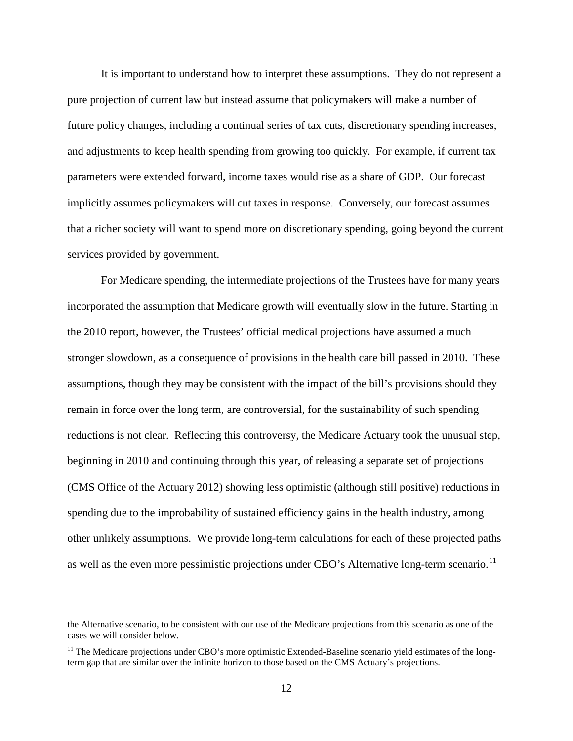It is important to understand how to interpret these assumptions. They do not represent a pure projection of current law but instead assume that policymakers will make a number of future policy changes, including a continual series of tax cuts, discretionary spending increases, and adjustments to keep health spending from growing too quickly. For example, if current tax parameters were extended forward, income taxes would rise as a share of GDP. Our forecast implicitly assumes policymakers will cut taxes in response. Conversely, our forecast assumes that a richer society will want to spend more on discretionary spending, going beyond the current services provided by government.

For Medicare spending, the intermediate projections of the Trustees have for many years incorporated the assumption that Medicare growth will eventually slow in the future. Starting in the 2010 report, however, the Trustees' official medical projections have assumed a much stronger slowdown, as a consequence of provisions in the health care bill passed in 2010. These assumptions, though they may be consistent with the impact of the bill's provisions should they remain in force over the long term, are controversial, for the sustainability of such spending reductions is not clear. Reflecting this controversy, the Medicare Actuary took the unusual step, beginning in 2010 and continuing through this year, of releasing a separate set of projections (CMS Office of the Actuary 2012) showing less optimistic (although still positive) reductions in spending due to the improbability of sustained efficiency gains in the health industry, among other unlikely assumptions. We provide long-term calculations for each of these projected paths as well as the even more pessimistic projections under CBO's Alternative long-term scenario.<sup>[11](#page-13-0)</sup>

the Alternative scenario, to be consistent with our use of the Medicare projections from this scenario as one of the cases we will consider below.

<span id="page-13-0"></span> $11$  The Medicare projections under CBO's more optimistic Extended-Baseline scenario yield estimates of the longterm gap that are similar over the infinite horizon to those based on the CMS Actuary's projections.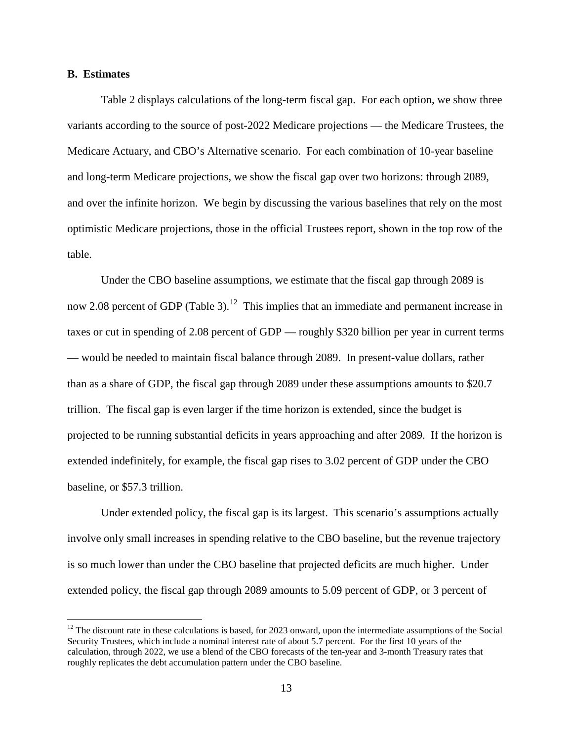#### **B. Estimates**

Table 2 displays calculations of the long-term fiscal gap. For each option, we show three variants according to the source of post-2022 Medicare projections — the Medicare Trustees, the Medicare Actuary, and CBO's Alternative scenario. For each combination of 10-year baseline and long-term Medicare projections, we show the fiscal gap over two horizons: through 2089, and over the infinite horizon. We begin by discussing the various baselines that rely on the most optimistic Medicare projections, those in the official Trustees report, shown in the top row of the table.

Under the CBO baseline assumptions, we estimate that the fiscal gap through 2089 is now 2.08 percent of GDP (Table 3).<sup>12</sup> This implies that an immediate and permanent increase in taxes or cut in spending of 2.08 percent of GDP — roughly \$320 billion per year in current terms — would be needed to maintain fiscal balance through 2089. In present-value dollars, rather than as a share of GDP, the fiscal gap through 2089 under these assumptions amounts to \$20.7 trillion. The fiscal gap is even larger if the time horizon is extended, since the budget is projected to be running substantial deficits in years approaching and after 2089. If the horizon is extended indefinitely, for example, the fiscal gap rises to 3.02 percent of GDP under the CBO baseline, or \$57.3 trillion.

Under extended policy, the fiscal gap is its largest. This scenario's assumptions actually involve only small increases in spending relative to the CBO baseline, but the revenue trajectory is so much lower than under the CBO baseline that projected deficits are much higher. Under extended policy, the fiscal gap through 2089 amounts to 5.09 percent of GDP, or 3 percent of

<span id="page-14-0"></span> $12$  The discount rate in these calculations is based, for 2023 onward, upon the intermediate assumptions of the Social Security Trustees, which include a nominal interest rate of about 5.7 percent. For the first 10 years of the calculation, through 2022, we use a blend of the CBO forecasts of the ten-year and 3-month Treasury rates that roughly replicates the debt accumulation pattern under the CBO baseline.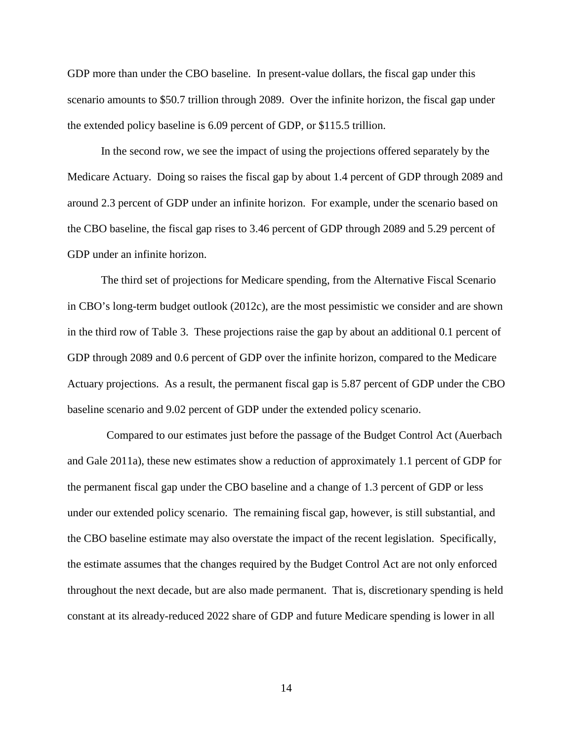GDP more than under the CBO baseline. In present-value dollars, the fiscal gap under this scenario amounts to \$50.7 trillion through 2089. Over the infinite horizon, the fiscal gap under the extended policy baseline is 6.09 percent of GDP, or \$115.5 trillion.

In the second row, we see the impact of using the projections offered separately by the Medicare Actuary. Doing so raises the fiscal gap by about 1.4 percent of GDP through 2089 and around 2.3 percent of GDP under an infinite horizon. For example, under the scenario based on the CBO baseline, the fiscal gap rises to 3.46 percent of GDP through 2089 and 5.29 percent of GDP under an infinite horizon.

The third set of projections for Medicare spending, from the Alternative Fiscal Scenario in CBO's long-term budget outlook (2012c), are the most pessimistic we consider and are shown in the third row of Table 3. These projections raise the gap by about an additional 0.1 percent of GDP through 2089 and 0.6 percent of GDP over the infinite horizon, compared to the Medicare Actuary projections. As a result, the permanent fiscal gap is 5.87 percent of GDP under the CBO baseline scenario and 9.02 percent of GDP under the extended policy scenario.

 Compared to our estimates just before the passage of the Budget Control Act (Auerbach and Gale 2011a), these new estimates show a reduction of approximately 1.1 percent of GDP for the permanent fiscal gap under the CBO baseline and a change of 1.3 percent of GDP or less under our extended policy scenario. The remaining fiscal gap, however, is still substantial, and the CBO baseline estimate may also overstate the impact of the recent legislation. Specifically, the estimate assumes that the changes required by the Budget Control Act are not only enforced throughout the next decade, but are also made permanent. That is, discretionary spending is held constant at its already-reduced 2022 share of GDP and future Medicare spending is lower in all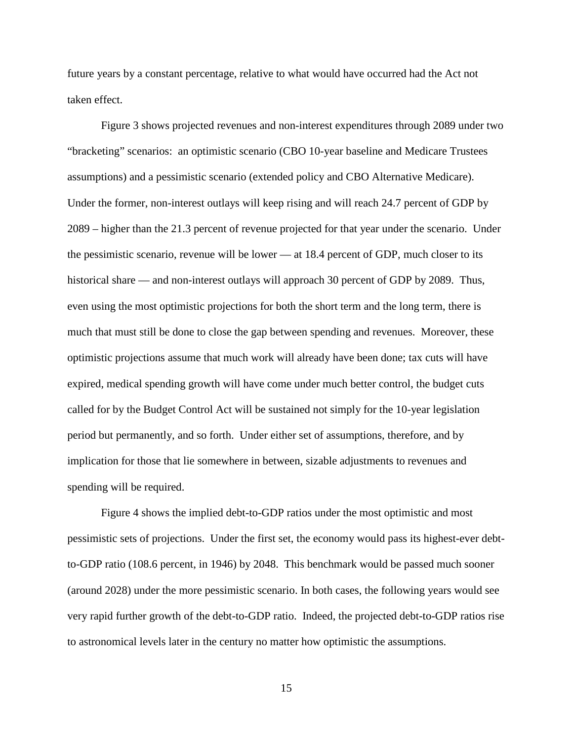future years by a constant percentage, relative to what would have occurred had the Act not taken effect.

Figure 3 shows projected revenues and non-interest expenditures through 2089 under two "bracketing" scenarios: an optimistic scenario (CBO 10-year baseline and Medicare Trustees assumptions) and a pessimistic scenario (extended policy and CBO Alternative Medicare). Under the former, non-interest outlays will keep rising and will reach 24.7 percent of GDP by 2089 – higher than the 21.3 percent of revenue projected for that year under the scenario. Under the pessimistic scenario, revenue will be lower — at 18.4 percent of GDP, much closer to its historical share — and non-interest outlays will approach 30 percent of GDP by 2089. Thus, even using the most optimistic projections for both the short term and the long term, there is much that must still be done to close the gap between spending and revenues. Moreover, these optimistic projections assume that much work will already have been done; tax cuts will have expired, medical spending growth will have come under much better control, the budget cuts called for by the Budget Control Act will be sustained not simply for the 10-year legislation period but permanently, and so forth. Under either set of assumptions, therefore, and by implication for those that lie somewhere in between, sizable adjustments to revenues and spending will be required.

Figure 4 shows the implied debt-to-GDP ratios under the most optimistic and most pessimistic sets of projections. Under the first set, the economy would pass its highest-ever debtto-GDP ratio (108.6 percent, in 1946) by 2048. This benchmark would be passed much sooner (around 2028) under the more pessimistic scenario. In both cases, the following years would see very rapid further growth of the debt-to-GDP ratio. Indeed, the projected debt-to-GDP ratios rise to astronomical levels later in the century no matter how optimistic the assumptions.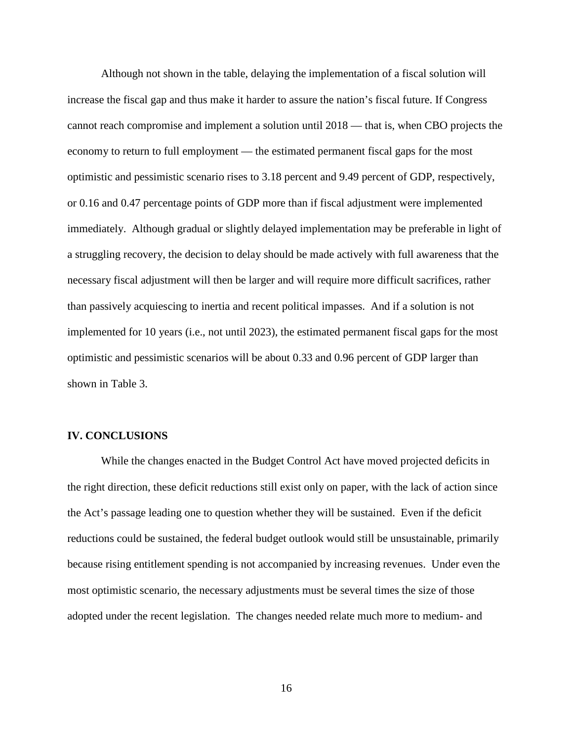Although not shown in the table, delaying the implementation of a fiscal solution will increase the fiscal gap and thus make it harder to assure the nation's fiscal future. If Congress cannot reach compromise and implement a solution until 2018 — that is, when CBO projects the economy to return to full employment — the estimated permanent fiscal gaps for the most optimistic and pessimistic scenario rises to 3.18 percent and 9.49 percent of GDP, respectively, or 0.16 and 0.47 percentage points of GDP more than if fiscal adjustment were implemented immediately. Although gradual or slightly delayed implementation may be preferable in light of a struggling recovery, the decision to delay should be made actively with full awareness that the necessary fiscal adjustment will then be larger and will require more difficult sacrifices, rather than passively acquiescing to inertia and recent political impasses. And if a solution is not implemented for 10 years (i.e., not until 2023), the estimated permanent fiscal gaps for the most optimistic and pessimistic scenarios will be about 0.33 and 0.96 percent of GDP larger than shown in Table 3.

#### **IV. CONCLUSIONS**

While the changes enacted in the Budget Control Act have moved projected deficits in the right direction, these deficit reductions still exist only on paper, with the lack of action since the Act's passage leading one to question whether they will be sustained. Even if the deficit reductions could be sustained, the federal budget outlook would still be unsustainable, primarily because rising entitlement spending is not accompanied by increasing revenues. Under even the most optimistic scenario, the necessary adjustments must be several times the size of those adopted under the recent legislation. The changes needed relate much more to medium- and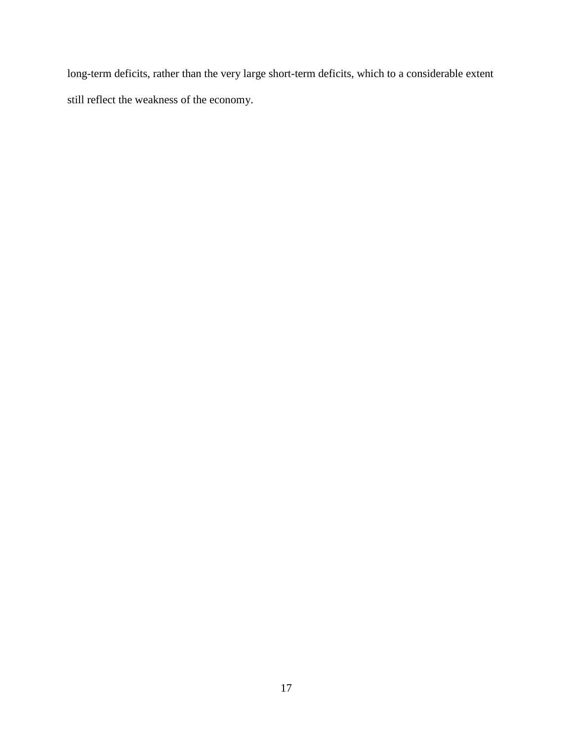long-term deficits, rather than the very large short-term deficits, which to a considerable extent still reflect the weakness of the economy.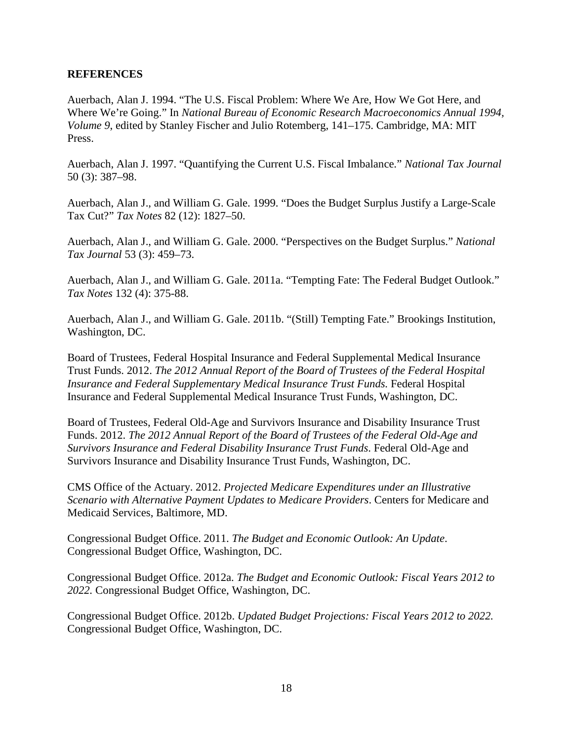#### **REFERENCES**

Auerbach, Alan J. 1994. "The U.S. Fiscal Problem: Where We Are, How We Got Here, and Where We're Going." In *National Bureau of Economic Research Macroeconomics Annual 1994, Volume 9*, edited by Stanley Fischer and Julio Rotemberg, 141–175. Cambridge, MA: MIT Press.

Auerbach, Alan J. 1997. "Quantifying the Current U.S. Fiscal Imbalance." *National Tax Journal*  50 (3): 387–98.

Auerbach, Alan J., and William G. Gale. 1999. "Does the Budget Surplus Justify a Large-Scale Tax Cut?" *Tax Notes* 82 (12): 1827–50.

Auerbach, Alan J., and William G. Gale. 2000. "Perspectives on the Budget Surplus." *National Tax Journal* 53 (3): 459–73.

Auerbach, Alan J., and William G. Gale. 2011a. "Tempting Fate: The Federal Budget Outlook." *Tax Notes* 132 (4): 375-88.

Auerbach, Alan J., and William G. Gale. 2011b. "(Still) Tempting Fate." Brookings Institution, Washington, DC.

Board of Trustees, Federal Hospital Insurance and Federal Supplemental Medical Insurance Trust Funds. 2012. *The 2012 Annual Report of the Board of Trustees of the Federal Hospital Insurance and Federal Supplementary Medical Insurance Trust Funds.* Federal Hospital Insurance and Federal Supplemental Medical Insurance Trust Funds, Washington, DC.

Board of Trustees, Federal Old-Age and Survivors Insurance and Disability Insurance Trust Funds. 2012. *The 2012 Annual Report of the Board of Trustees of the Federal Old-Age and Survivors Insurance and Federal Disability Insurance Trust Funds*. Federal Old-Age and Survivors Insurance and Disability Insurance Trust Funds, Washington, DC.

CMS Office of the Actuary. 2012. *Projected Medicare Expenditures under an Illustrative Scenario with Alternative Payment Updates to Medicare Providers*. Centers for Medicare and Medicaid Services, Baltimore, MD.

Congressional Budget Office. 2011. *The Budget and Economic Outlook: An Update*. Congressional Budget Office, Washington, DC.

Congressional Budget Office. 2012a. *The Budget and Economic Outlook: Fiscal Years 2012 to 2022.* Congressional Budget Office, Washington, DC.

Congressional Budget Office. 2012b. *Updated Budget Projections: Fiscal Years 2012 to 2022.*  Congressional Budget Office, Washington, DC.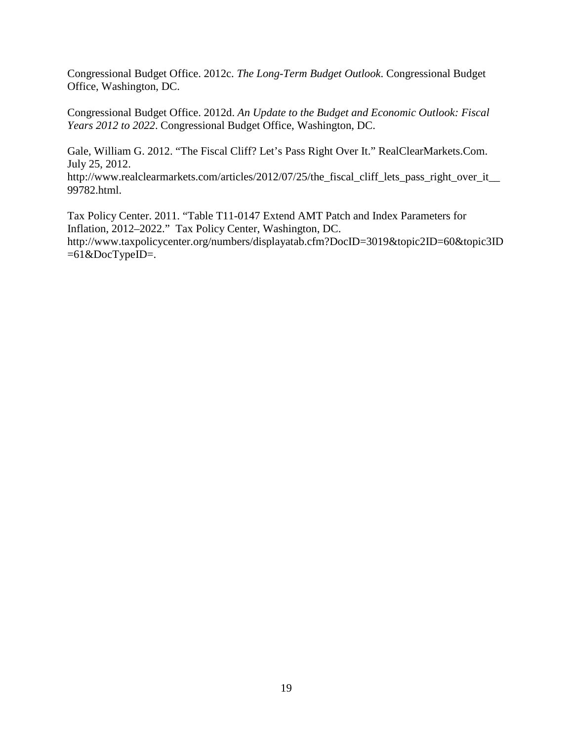Congressional Budget Office. 2012c. *The Long-Term Budget Outlook*. Congressional Budget Office, Washington, DC.

Congressional Budget Office. 2012d. *An Update to the Budget and Economic Outlook: Fiscal Years 2012 to 2022*. Congressional Budget Office, Washington, DC.

Gale, William G. 2012. "The Fiscal Cliff? Let's Pass Right Over It." RealClearMarkets.Com. July 25, 2012.

http://www.realclearmarkets.com/articles/2012/07/25/the\_fiscal\_cliff\_lets\_pass\_right\_over\_it\_\_ 99782.html.

Tax Policy Center. 2011. "Table T11-0147 Extend AMT Patch and Index Parameters for Inflation, 2012–2022." Tax Policy Center, Washington, DC. http://www.taxpolicycenter.org/numbers/displayatab.cfm?DocID=3019&topic2ID=60&topic3ID  $=61$  & DocTypeID=.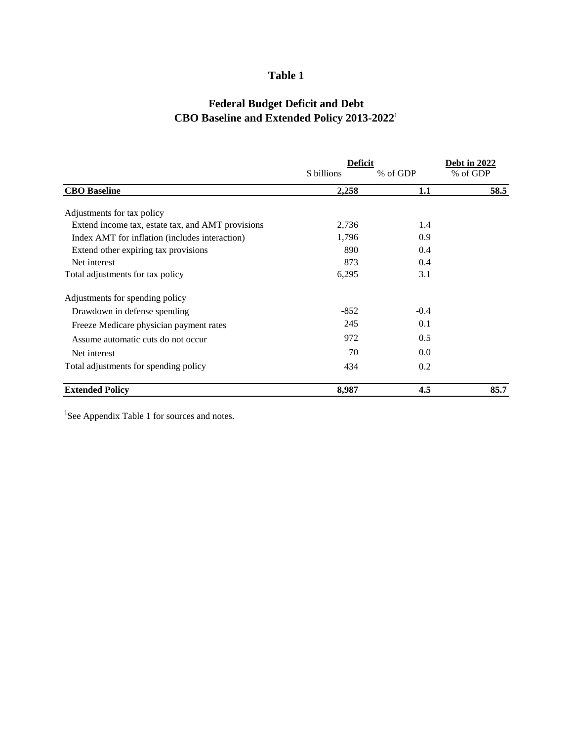### **Table 1**

## **Federal Budget Deficit and Debt CBO Baseline and Extended Policy 2013-2022**<sup>1</sup>

|                                                   | <u>Deficit</u> | Debt in 2022 |          |  |
|---------------------------------------------------|----------------|--------------|----------|--|
|                                                   | \$ billions    | % of GDP     | % of GDP |  |
| <b>CBO</b> Baseline                               | 2,258          | 1.1          | 58.5     |  |
| Adjustments for tax policy                        |                |              |          |  |
| Extend income tax, estate tax, and AMT provisions | 2,736          | 1.4          |          |  |
| Index AMT for inflation (includes interaction)    | 1,796          | 0.9          |          |  |
| Extend other expiring tax provisions              | 890            | 0.4          |          |  |
| Net interest                                      | 873            | 0.4          |          |  |
| Total adjustments for tax policy                  | 6,295          | 3.1          |          |  |
| Adjustments for spending policy                   |                |              |          |  |
| Drawdown in defense spending                      | $-852$         | $-0.4$       |          |  |
| Freeze Medicare physician payment rates           | 245            | 0.1          |          |  |
| Assume automatic cuts do not occur                | 972            | 0.5          |          |  |
| Net interest                                      | 70             | 0.0          |          |  |
| Total adjustments for spending policy             | 434            | 0.2          |          |  |
| <b>Extended Policy</b>                            | 8,987          | 4.5          | 85.7     |  |

<sup>1</sup>See Appendix Table 1 for sources and notes.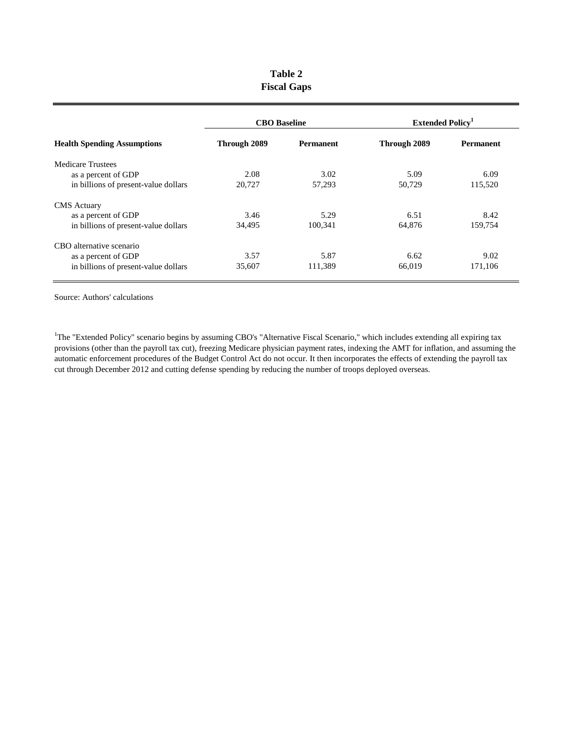| Table 2            |  |  |  |  |  |  |  |
|--------------------|--|--|--|--|--|--|--|
| <b>Fiscal Gaps</b> |  |  |  |  |  |  |  |

| <b>Health Spending Assumptions</b>   | <b>CBO</b> Baseline |                  | <b>Extended Policy</b> <sup>1</sup> |                  |  |
|--------------------------------------|---------------------|------------------|-------------------------------------|------------------|--|
|                                      | Through 2089        | <b>Permanent</b> | Through 2089                        | <b>Permanent</b> |  |
| <b>Medicare Trustees</b>             |                     |                  |                                     |                  |  |
| as a percent of GDP                  | 2.08                | 3.02             | 5.09                                | 6.09             |  |
| in billions of present-value dollars | 20,727              | 57,293           | 50,729                              | 115,520          |  |
| <b>CMS</b> Actuary                   |                     |                  |                                     |                  |  |
| as a percent of GDP                  | 3.46                | 5.29             | 6.51                                | 8.42             |  |
| in billions of present-value dollars | 34,495              | 100,341          | 64,876                              | 159,754          |  |
| CBO alternative scenario             |                     |                  |                                     |                  |  |
| as a percent of GDP                  | 3.57                | 5.87             | 6.62                                | 9.02             |  |
| in billions of present-value dollars | 35,607              | 111,389          | 66,019                              | 171,106          |  |

Source: Authors' calculations

<sup>1</sup>The "Extended Policy" scenario begins by assuming CBO's "Alternative Fiscal Scenario," which includes extending all expiring tax provisions (other than the payroll tax cut), freezing Medicare physician payment rates, indexing the AMT for inflation, and assuming the automatic enforcement procedures of the Budget Control Act do not occur. It then incorporates the effects of extending the payroll tax cut through December 2012 and cutting defense spending by reducing the number of troops deployed overseas.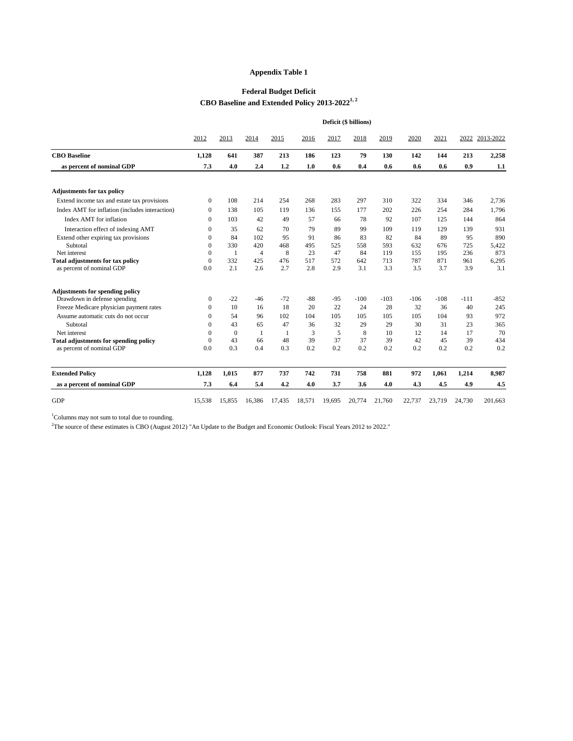|                                                | Deficit (\$ billions) |                  |                |        |                |        |        |        |        |        |        |                |
|------------------------------------------------|-----------------------|------------------|----------------|--------|----------------|--------|--------|--------|--------|--------|--------|----------------|
|                                                | 2012                  | 2013             | 2014           | 2015   | 2016           | 2017   | 2018   | 2019   | 2020   | 2021   |        | 2022 2013-2022 |
| <b>CBO</b> Baseline                            | 1,128                 | 641              | 387            | 213    | 186            | 123    | 79     | 130    | 142    | 144    | 213    | 2,258          |
| as percent of nominal GDP                      | 7.3                   | 4.0              | 2.4            | 1.2    | 1.0            | 0.6    | 0.4    | 0.6    | 0.6    | 0.6    | 0.9    | 1.1            |
| <b>Adjustments for tax policy</b>              |                       |                  |                |        |                |        |        |        |        |        |        |                |
| Extend income tax and estate tax provisions    | $\overline{0}$        | 108              | 214            | 254    | 268            | 283    | 297    | 310    | 322    | 334    | 346    | 2,736          |
| Index AMT for inflation (includes interaction) | $\overline{0}$        | 138              | 105            | 119    | 136            | 155    | 177    | 202    | 226    | 254    | 284    | 1,796          |
| Index AMT for inflation                        | $\Omega$              | 103              | 42             | 49     | 57             | 66     | 78     | 92     | 107    | 125    | 144    | 864            |
| Interaction effect of indexing AMT             | $\overline{0}$        | 35               | 62             | 70     | 79             | 89     | 99     | 109    | 119    | 129    | 139    | 931            |
| Extend other expiring tax provisions           | $\Omega$              | 84               | 102            | 95     | 91             | 86     | 83     | 82     | 84     | 89     | 95     | 890            |
| Subtotal                                       | $\theta$              | 330              | 420            | 468    | 495            | 525    | 558    | 593    | 632    | 676    | 725    | 5,422          |
| Net interest                                   | $\mathbf{0}$          | $\mathbf{1}$     | $\overline{4}$ | 8      | 23             | 47     | 84     | 119    | 155    | 195    | 236    | 873            |
| <b>Total adjustments for tax policy</b>        | $\mathbf{0}$          | 332              | 425            | 476    | 517            | 572    | 642    | 713    | 787    | 871    | 961    | 6,295          |
| as percent of nominal GDP                      | 0.0                   | 2.1              | 2.6            | 2.7    | 2.8            | 2.9    | 3.1    | 3.3    | 3.5    | 3.7    | 3.9    | 3.1            |
| <b>Adjustments for spending policy</b>         |                       |                  |                |        |                |        |        |        |        |        |        |                |
| Drawdown in defense spending                   | $\boldsymbol{0}$      | $-22$            | $-46$          | $-72$  | $-88$          | $-95$  | $-100$ | $-103$ | $-106$ | $-108$ | $-111$ | $-852$         |
| Freeze Medicare physician payment rates        | $\boldsymbol{0}$      | 10               | 16             | 18     | 20             | 22     | 24     | 28     | 32     | 36     | 40     | 245            |
| Assume automatic cuts do not occur             | $\Omega$              | 54               | 96             | 102    | 104            | 105    | 105    | 105    | 105    | 104    | 93     | 972            |
| Subtotal                                       | $\Omega$              | 43               | 65             | 47     | 36             | 32     | 29     | 29     | 30     | 31     | 23     | 365            |
| Net interest                                   | $\theta$              | $\boldsymbol{0}$ | $\mathbf{1}$   | -1     | $\mathfrak{Z}$ | 5      | 8      | 10     | 12     | 14     | 17     | 70             |
| <b>Total adjustments for spending policy</b>   | $\overline{0}$        | 43               | 66             | 48     | 39             | 37     | 37     | 39     | 42     | 45     | 39     | 434            |
| as percent of nominal GDP                      | 0.0                   | 0.3              | 0.4            | 0.3    | 0.2            | 0.2    | 0.2    | 0.2    | 0.2    | 0.2    | 0.2    | 0.2            |
| <b>Extended Policy</b>                         | 1,128                 | 1,015            | 877            | 737    | 742            | 731    | 758    | 881    | 972    | 1,061  | 1,214  | 8,987          |
| as a percent of nominal GDP                    | 7.3                   | 6.4              | 5.4            | 4.2    | 4.0            | 3.7    | 3.6    | 4.0    | 4.3    | 4.5    | 4.9    | 4.5            |
| <b>GDP</b>                                     | 15,538                | 15,855           | 16,386         | 17,435 | 18,571         | 19,695 | 20,774 | 21,760 | 22,737 | 23,719 | 24,730 | 201,663        |

<sup>1</sup>Columns may not sum to total due to rounding.

<sup>2</sup>The source of these estimates is CBO (August 2012) "An Update to the Budget and Economic Outlook: Fiscal Years 2012 to 2022."

## **Appendix Table 1**

# **Federal Budget Deficit CBO Baseline and Extended Policy 2013-20221, 2**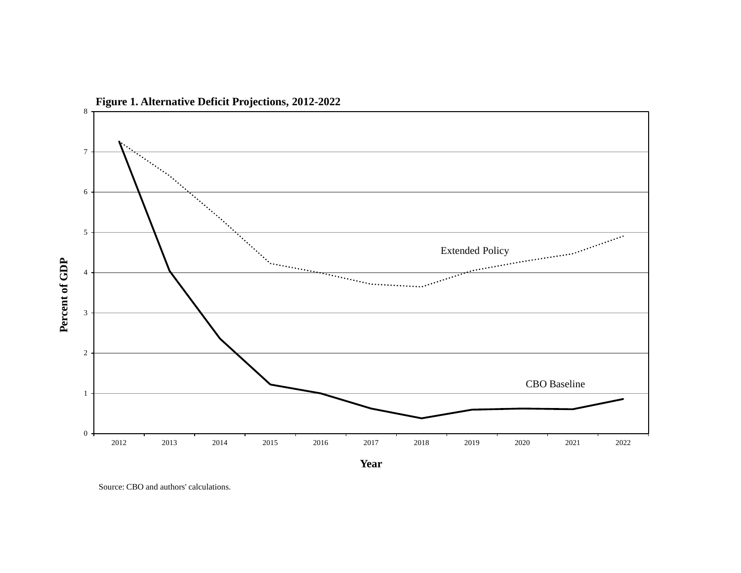

**Figure 1. Alternative Deficit Projections, 2012-2022**

Source: CBO and authors' calculations.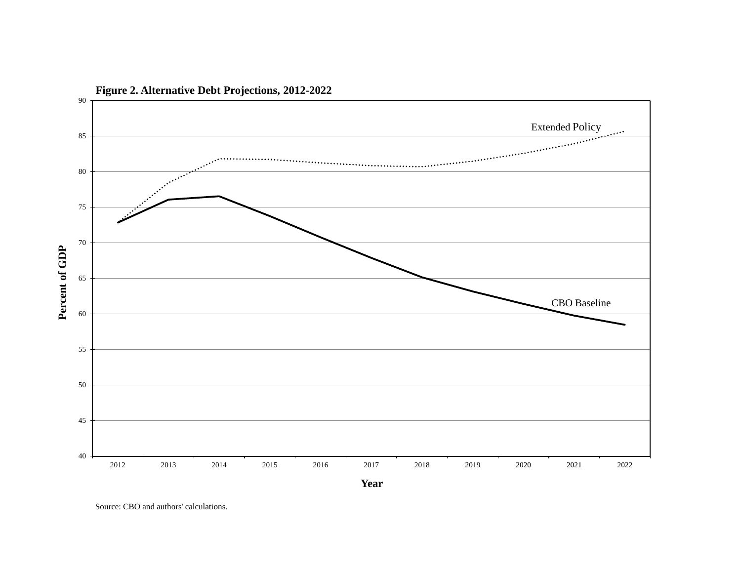

**Figure 2. Alternative Debt Projections, 2012-2022**

Source: CBO and authors' calculations.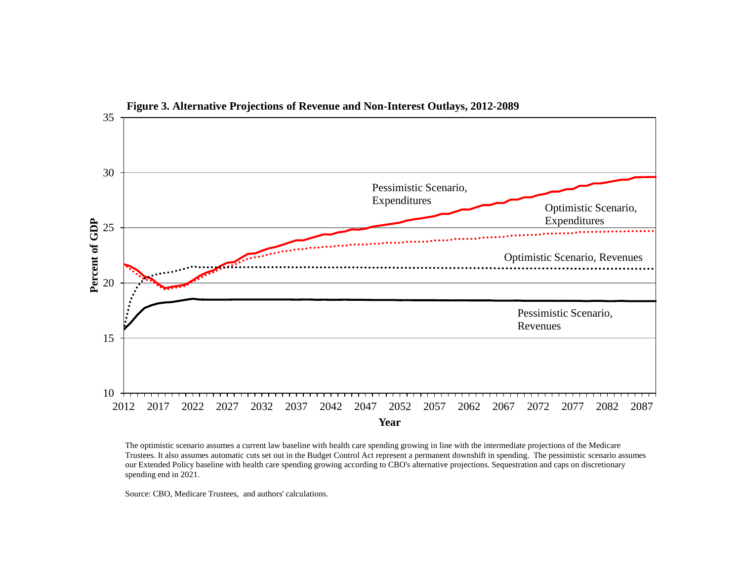

The optimistic scenario assumes a current law baseline with health care spending growing in line with the intermediate projections of the Medicare Trustees. It also assumes automatic cuts set out in the Budget Control Act represent a permanent downshift in spending. The pessimistic scenario assumes our Extended Policy baseline with health care spending growing according to CBO's alternative projections. Sequestration and caps on discretionary spending end in 2021.

Source: CBO, Medicare Trustees, and authors' calculations.